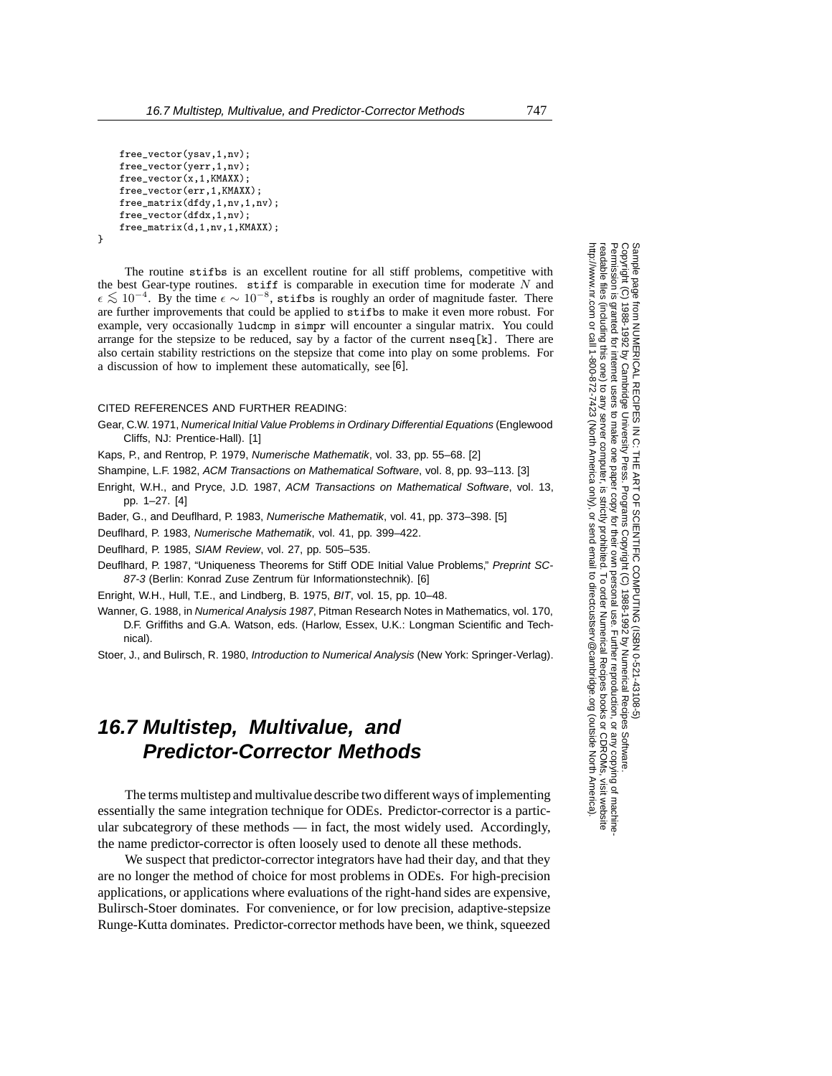```
free_vector(ysav,1,nv);
free_vector(yerr,1,nv);
free_vector(x,1,KMAXX);
free_vector(err,1,KMAXX);
free_matrix(dfdy,1,nv,1,nv);
free_vector(dfdx,1,nv);
free_matrix(d,1,nv,1,KMAXX);
```
}

The routine stifbs is an excellent routine for all stiff problems, competitive with the best Gear-type routines. stiff is comparable in execution time for moderate  $N$  and  $\epsilon \lesssim \frac{10^{-4} \text{ cm}}{10^{-4} \text{ cm}}$  by the time  $\epsilon \sim 10^{-8}$ , stifbs is roughly an order of magnitude faster. There  $\epsilon$  is roughly an order of magnitude faster. There  $\epsilon$  is realized to exist be applied to exist the sequel are further improvements that could be applied to stifbs to make it even more robust. For example, very occasionally ludcmp in simpr will encounter a singular matrix. You could arrange for the stepsize to be reduced, say by a factor of the current  $\text{nseg}[k]$ . There are also certain stability restrictions on the stepsize that come into play on some problems. For a discussion of how to implement these automatically, see [6].

## CITED REFERENCES AND FURTHER READING:

- Gear, C.W. 1971, Numerical Initial Value Problems in Ordinary Differential Equations (Englewood Cliffs, NJ: Prentice-Hall). [1]
- Kaps, P., and Rentrop, P. 1979, Numerische Mathematik, vol. 33, pp. 55–68. [2]
- Shampine, L.F. 1982, ACM Transactions on Mathematical Software, vol. 8, pp. 93-113. [3]
- Enright, W.H., and Pryce, J.D. 1987, ACM Transactions on Mathematical Software, vol. 13, pp. 1–27. [4]
- Bader, G., and Deuflhard, P. 1983, Numerische Mathematik, vol. 41, pp. 373–398. [5]
- Deuflhard, P. 1983, Numerische Mathematik, vol. 41, pp. 399–422.

Deuflhard, P. 1985, SIAM Review, vol. 27, pp. 505–535.

- Deuflhard, P. 1987, "Uniqueness Theorems for Stiff ODE Initial Value Problems," Preprint SC-87-3 (Berlin: Konrad Zuse Zentrum für Informationstechnik). [6]
- Enright, W.H., Hull, T.E., and Lindberg, B. 1975, BIT, vol. 15, pp. 10–48.
- Wanner, G. 1988, in Numerical Analysis 1987, Pitman Research Notes in Mathematics, vol. 170, D.F. Griffiths and G.A. Watson, eds. (Harlow, Essex, U.K.: Longman Scientific and Technical).

Stoer, J., and Bulirsch, R. 1980, Introduction to Numerical Analysis (New York: Springer-Verlag).

## **16.7 Multistep, Multivalue, and Predictor-Corrector Methods**

The terms multistep and multivalue describe two different ways of implementing essentially the same integration technique for ODEs. Predictor-corrector is a particular subcategrory of these methods — in fact, the most widely used. Accordingly, the name predictor-corrector is often loosely used to denote all these methods.

We suspect that predictor-corrector integrators have had their day, and that they are no longer the method of choice for most problems in ODEs. For high-precision applications, or applications where evaluations of the right-hand sides are expensive, Bulirsch-Stoer dominates. For convenience, or for low precision, adaptive-stepsize Runge-Kutta dominates. Predictor-corrector methods have been, we think, squeezed

Copyright (C) 1988-1992 by Cambridge University Press.Sample page from NUMERICAL RECIPES IN C: THE ART OF SCIENTIFIC COMPUTING (ISBN 0-521-43108-5) http://www.nr.com or call 1-800-872-7423 (North America only),readable files (including this one) to any serverPermission is granted for internet users to make one paper copy for their own personal use. Further reproduction, or any copyin a University Press. Programs Copyright (C) 1988-1992 by Numerical Recipes Software.<br>to make one paper copy for their own personal use. Further reproduction, or any copying of machine-<br>y server computer, is strictly prohibi computer, is strictly prohibited. To order Numerical Recipes booksPrograms Copyright (C) 1988-1992 by Numerical Recipes Software. or send email to directcustserv@cambridge.org (outside North America). email to directcustserv@cambridge.org (outside North America), or CDROMs, visit website g of machine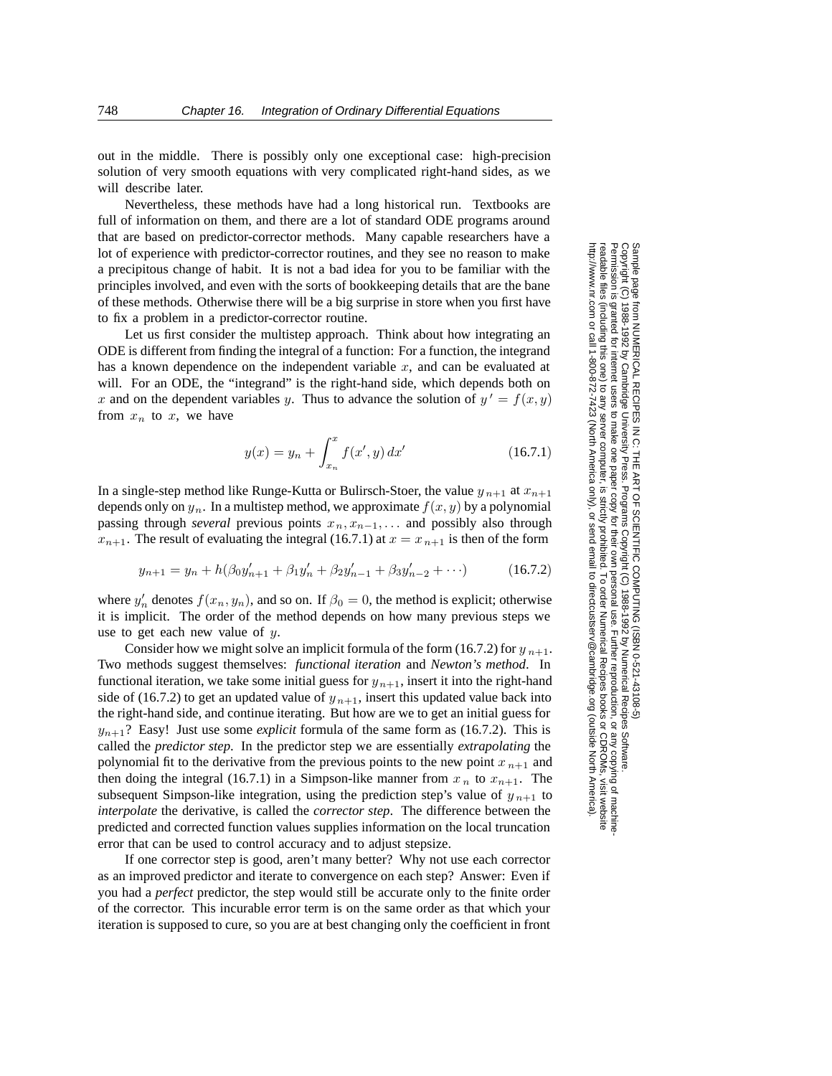out in the middle. There is possibly only one exceptional case: high-precision solution of very smooth equations with very complicated right-hand sides, as we will describe later.

Nevertheless, these methods have had a long historical run. Textbooks are full of information on them, and there are a lot of standard ODE programs around that are based on predictor-corrector methods. Many capable researchers have a lot of experience with predictor-corrector routines, and they see no reason to make a precipitous change of habit. It is not a bad idea for you to be familiar with the principles involved, and even with the sorts of bookkeeping details that are the bane of these methods. Otherwise there will be a big surprise in store when you first have to fix a problem in a predictor-corrector routine.

Let us first consider the multistep approach. Think about how integrating an ODE is different from finding the integral of a function: For a function, the integrand has a known dependence on the independent variable  $x$ , and can be evaluated at will. For an ODE, the "integrand" is the right-hand side, which depends both on x and on the dependent variables y. Thus to advance the solution of  $y' = f(x, y)$ from  $x_n$  to  $x$ , we have

$$
y(x) = y_n + \int_{x_n}^{x} f(x', y) dx'
$$
 (16.7.1)

In a single-step method like Runge-Kutta or Bulirsch-Stoer, the value  $y_{n+1}$  at  $x_{n+1}$ depends only on  $y_n$ . In a multistep method, we approximate  $f(x, y)$  by a polynomial passing through *several* previous points  $x_n, x_{n-1}, \ldots$  and possibly also through  $x_{n+1}$ . The result of evaluating the integral (16.7.1) at  $x = x_{n+1}$  is then of the form

$$
y_{n+1} = y_n + h(\beta_0 y'_{n+1} + \beta_1 y'_n + \beta_2 y'_{n-1} + \beta_3 y'_{n-2} + \cdots)
$$
 (16.7.2)

where  $y'_n$  denotes  $f(x_n, y_n)$ , and so on. If  $\beta_0 = 0$ , the method is explicit; otherwise it is implicit. The order of the method depends on how many previous steps we use to get each new value of  $y$ .

Consider how we might solve an implicit formula of the form  $(16.7.2)$  for  $y_{n+1}$ . Two methods suggest themselves: *functional iteration* and *Newton's method*. In functional iteration, we take some initial guess for  $y_{n+1}$ , insert it into the right-hand side of (16.7.2) to get an updated value of  $y_{n+1}$ , insert this updated value back into the right-hand side, and continue iterating. But how are we to get an initial guess for  $y_{n+1}$ ? Easy! Just use some *explicit* formula of the same form as (16.7.2). This is called the *predictor step*. In the predictor step we are essentially *extrapolating* the polynomial fit to the derivative from the previous points to the new point  $x_{n+1}$  and then doing the integral (16.7.1) in a Simpson-like manner from  $x_n$  to  $x_{n+1}$ . The subsequent Simpson-like integration, using the prediction step's value of  $y_{n+1}$  to *interpolate* the derivative, is called the *corrector step*. The difference between the predicted and corrected function values supplies information on the local truncation error that can be used to control accuracy and to adjust stepsize.

If one corrector step is good, aren't many better? Why not use each corrector as an improved predictor and iterate to convergence on each step? Answer: Even if you had a *perfect* predictor, the step would still be accurate only to the finite order of the corrector. This incurable error term is on the same order as that which your iteration is supposed to cure, so you are at best changing only the coefficient in front

Permission is granted for internet users to make one paper copy for their own personal use. Further reproduction, or any copyin Copyright (C) 1988-1992 by Cambridge University Press.Programs Copyright (C) 1988-1992 by Numerical Recipes Software. g of machinereadable files (including this one) to any servercomputer, is strictly prohibited. To order Numerical Recipes booksor CDROMs, visit website http://www.nr.com or call 1-800-872-7423 (North America only),or send email to directcustserv@cambridge.org (outside North America).

Sample page from NUMERICAL RECIPES IN C: THE ART OF SCIENTIFIC COMPUTING (ISBN 0-521-43108-5)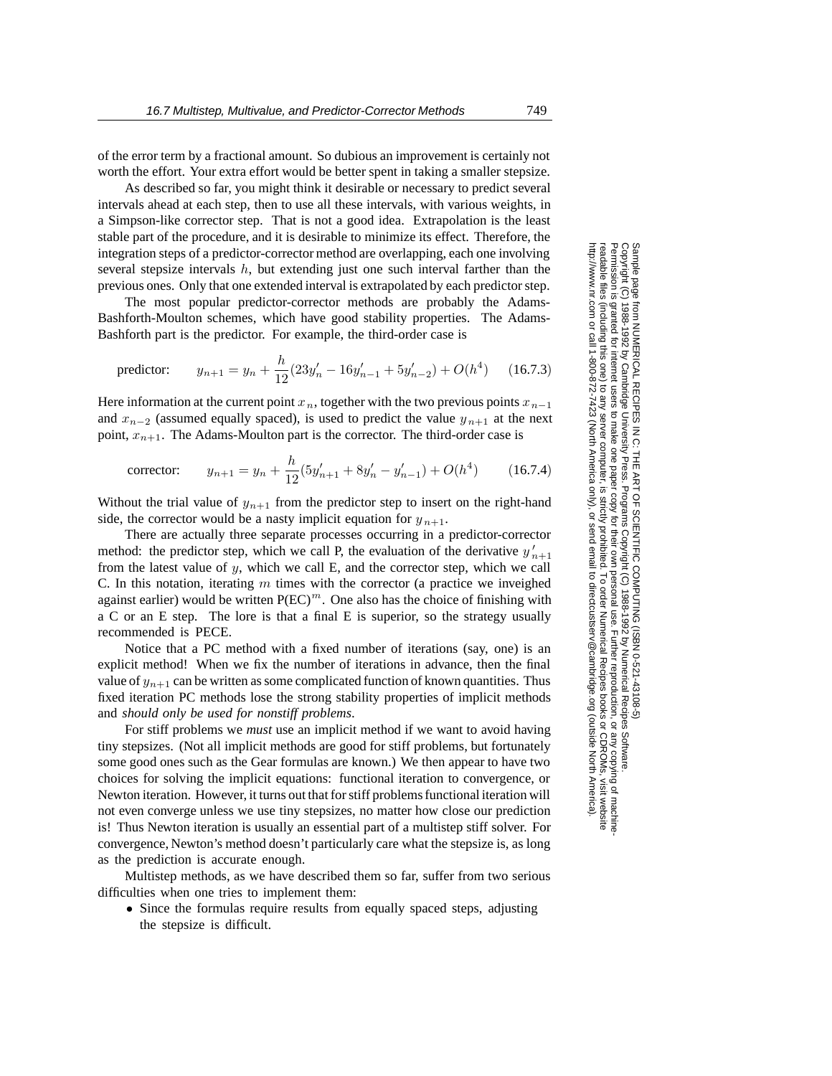of the error term by a fractional amount. So dubious an improvement is certainly not worth the effort. Your extra effort would be better spent in taking a smaller stepsize.

As described so far, you might think it desirable or necessary to predict several intervals ahead at each step, then to use all these intervals, with various weights, in a Simpson-like corrector step. That is not a good idea. Extrapolation is the least stable part of the procedure, and it is desirable to minimize its effect. Therefore, the integration steps of a predictor-corrector method are overlapping, each one involving several stepsize intervals  $h$ , but extending just one such interval farther than the previous ones. Only that one extended interval is extrapolated by each predictor step.

The most popular predictor-corrector methods are probably the Adams-Bashforth-Moulton schemes, which have good stability properties. The Adams-Bashforth part is the predictor. For example, the third-order case is

predictor: 
$$
y_{n+1} = y_n + \frac{h}{12} (23y'_n - 16y'_{n-1} + 5y'_{n-2}) + O(h^4)
$$
 (16.7.3)

Here information at the current point  $x_n$ , together with the two previous points  $x_{n-1}$ and  $x_{n-2}$  (assumed equally spaced), is used to predict the value  $y_{n+1}$  at the next point,  $x_{n+1}$ . The Adams-Moulton part is the corrector. The third-order case is

corrector: 
$$
y_{n+1} = y_n + \frac{h}{12}(5y'_{n+1} + 8y'_n - y'_{n-1}) + O(h^4)
$$
 (16.7.4)

Without the trial value of  $y_{n+1}$  from the predictor step to insert on the right-hand side, the corrector would be a nasty implicit equation for  $y_{n+1}$ .

There are actually three separate processes occurring in a predictor-corrector method: the predictor step, which we call P, the evaluation of the derivative  $y'_{n+1}$ from the latest value of  $y$ , which we call E, and the corrector step, which we call C. In this notation, iterating  $m$  times with the corrector (a practice we inveighed against earlier) would be written  $P(EC)^{m}$ . One also has the choice of finishing with a C or an E step. The lore is that a final E is superior, so the strategy usually recommended is PECE.

Notice that a PC method with a fixed number of iterations (say, one) is an explicit method! When we fix the number of iterations in advance, then the final value of  $y_{n+1}$  can be written as some complicated function of known quantities. Thus fixed iteration PC methods lose the strong stability properties of implicit methods and *should only be used for nonstiff problems*.

For stiff problems we *must* use an implicit method if we want to avoid having tiny stepsizes. (Not all implicit methods are good for stiff problems, but fortunately some good ones such as the Gear formulas are known.) We then appear to have two choices for solving the implicit equations: functional iteration to convergence, or Newton iteration. However, it turns out that for stiff problems functional iteration will not even converge unless we use tiny stepsizes, no matter how close our prediction is! Thus Newton iteration is usually an essential part of a multistep stiff solver. For convergence, Newton's method doesn't particularly care what the stepsize is, as long as the prediction is accurate enough.

Multistep methods, as we have described them so far, suffer from two serious difficulties when one tries to implement them:

• Since the formulas require results from equally spaced steps, adjusting the stepsize is difficult.

Permission is granted for internet users to make one paper copy for their own personal use. Further reproduction, or any copyin Copyright (C) 1988-1992 by Cambridge University Press.Programs Copyright (C) 1988-1992 by Numerical Recipes Software. Sample page from NUMERICAL RECIPES IN C: THE ART OF SCIENTIFIC COMPUTING (ISBN 0-521-43108-5) g of machinereadable files (including this one) to any servercomputer, is strictly prohibited. To order Numerical Recipes booksor CDROMs, visit website http://www.nr.com or call 1-800-872-7423 (North America only),or send email to directcustserv@cambridge.org (outside North America).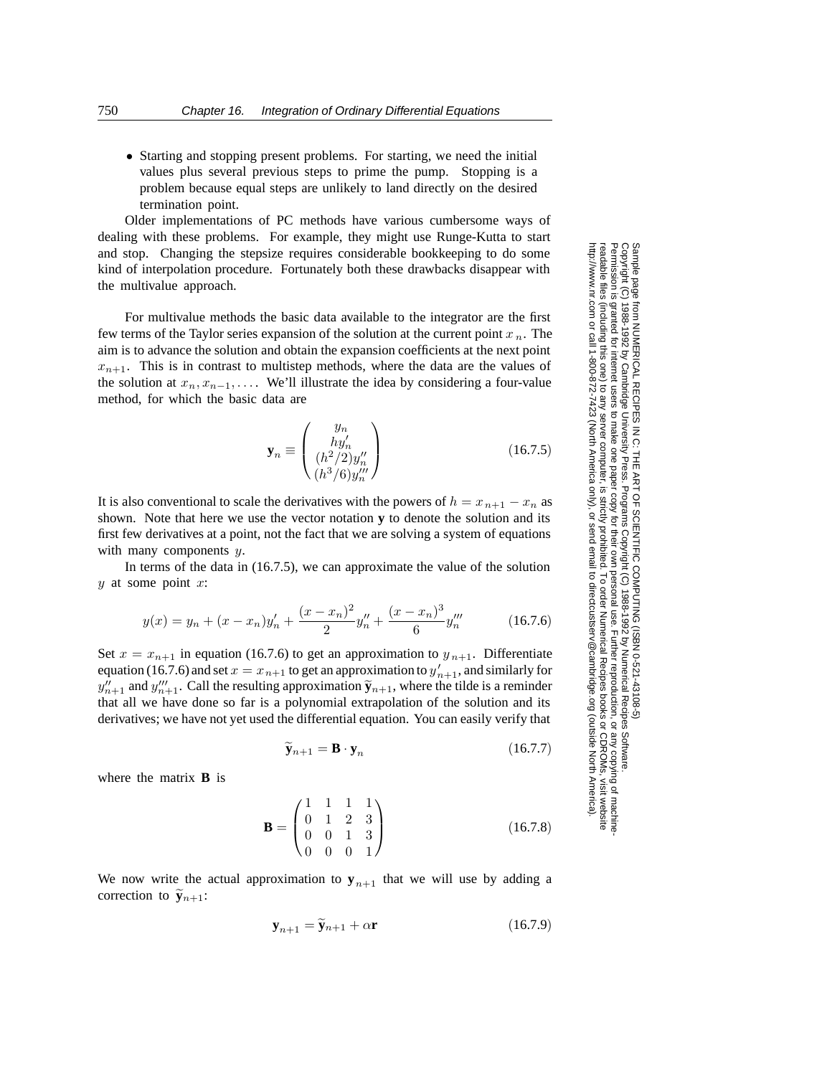• Starting and stopping present problems. For starting, we need the initial values plus several previous steps to prime the pump. Stopping is a problem because equal steps are unlikely to land directly on the desired termination point.

Older implementations of PC methods have various cumbersome ways of dealing with these problems. For example, they might use Runge-Kutta to start and stop. Changing the stepsize requires considerable bookkeeping to do some kind of interpolation procedure. Fortunately both these drawbacks disappear with the multivalue approach.

For multivalue methods the basic data available to the integrator are the first few terms of the Taylor series expansion of the solution at the current point  $x_n$ . The aim is to advance the solution and obtain the expansion coefficients at the next point  $x_{n+1}$ . This is in contrast to multistep methods, where the data are the values of the solution at  $x_n, x_{n-1}, \ldots$ . We'll illustrate the idea by considering a four-value method, for which the basic data are

$$
\mathbf{y}_n \equiv \begin{pmatrix} y_n \\ hy'_n \\ (h^2/2)y''_n \\ (h^3/6)y'''_n \end{pmatrix} \tag{16.7.5}
$$

It is also conventional to scale the derivatives with the powers of  $h = x_{n+1} - x_n$  as shown. Note that here we use the vector notation **y** to denote the solution and its first few derivatives at a point, not the fact that we are solving a system of equations with many components  $y$ .

In terms of the data in (16.7.5), we can approximate the value of the solution  $y$  at some point  $x$ :

$$
y(x) = y_n + (x - x_n)y'_n + \frac{(x - x_n)^2}{2}y''_n + \frac{(x - x_n)^3}{6}y'''_n \tag{16.7.6}
$$

Set  $x = x_{n+1}$  in equation (16.7.6) to get an approximation to  $y_{n+1}$ . Differentiate equation (16.7.6) and set  $x = x_{n+1}$  to get an approximation to  $y'_{n+1}$ , and similarly for  $y_{n+1}^n$  and  $y_{n+1}^m$ . Call the resulting approximation  $\tilde{y}_{n+1}$ , where the tilde is a reminder that all we have done so far is a rely provided a represention of the solution and its that all we have done so far is a polynomial extrapolation of the solution and its derivatives; we have not yet used the differential equation. You can easily verify that

$$
\widetilde{\mathbf{y}}_{n+1} = \mathbf{B} \cdot \mathbf{y}_n \tag{16.7.7}
$$

where the matrix **B** is

$$
\mathbf{B} = \begin{pmatrix} 1 & 1 & 1 & 1 \\ 0 & 1 & 2 & 3 \\ 0 & 0 & 1 & 3 \\ 0 & 0 & 0 & 1 \end{pmatrix}
$$
 (16.7.8)

We now write the actual approximation to  $y_{n+1}$  that we will use by adding a correction to  $\widetilde{\mathbf{y}}_{n+1}$ :

$$
\mathbf{y}_{n+1} = \widetilde{\mathbf{y}}_{n+1} + \alpha \mathbf{r}
$$
 (16.7.9)

Sample page f<br>Copyright (C)<br>Permission is g Copyright (C) 1988-1992 by Cambridge University Press.Sample page from NUMERICAL RECIPES IN C: THE ART OF SCIENTIFIC COMPUTING (ISBN 0-521-43108-5) http://www.nr.com or call 1-800-872-7423 (North America only),readable files (including this one) to any serverPermission is granted for internet users to make one paper copy for their own personal use. Further reproduction, or any copyin from NUMERICAL RECIPES IN C: THE ART OF SCIENTIFIC COMPUTING (ISBN 0-521-43108-5)<br>1988-1992 by Cambridge University Press. Programs Copyright (C) 1988-1992 by Numerical Recipes Software computer, is strictly prohibited. To order Numerical Recipes booksPrograms Copyright (C) 1988-1992 by Numerical Recipes Software. or send email to directcustserv@cambridge.org (outside North America). or CDROMs, visit website g of machine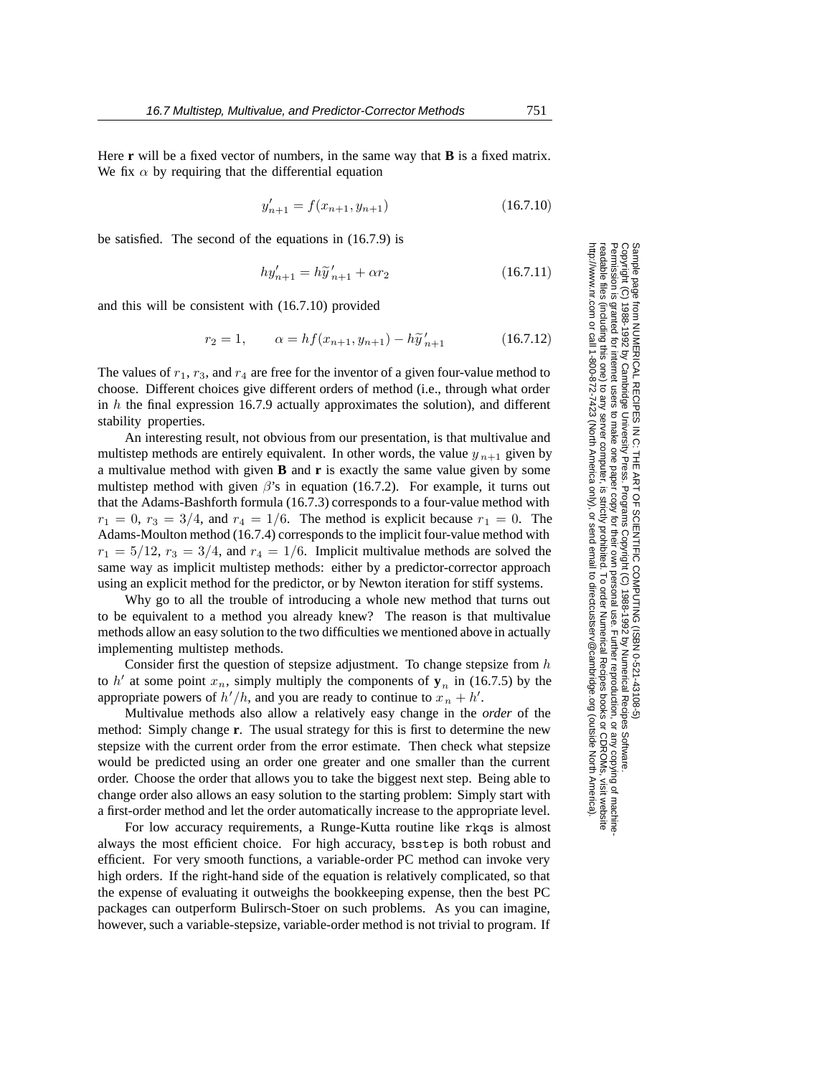Here **r** will be a fixed vector of numbers, in the same way that **B** is a fixed matrix. We fix  $\alpha$  by requiring that the differential equation

$$
y'_{n+1} = f(x_{n+1}, y_{n+1})
$$
\n(16.7.10)

be satisfied. The second of the equations in (16.7.9) is

$$
hy'_{n+1} = h\widetilde{y}'_{n+1} + \alpha r_2 \tag{16.7.11}
$$

and this will be consistent with (16.7.10) provided

$$
r_2 = 1, \qquad \alpha = h f(x_{n+1}, y_{n+1}) - h \tilde{y}'_{n+1} \tag{16.7.12}
$$

The values of  $r_1$ ,  $r_3$ , and  $r_4$  are free for the inventor of a given four-value method to choose. Different choices give different orders of method (i.e., through what order in  $h$  the final expression 16.7.9 actually approximates the solution), and different stability properties.

An interesting result, not obvious from our presentation, is that multivalue and multistep methods are entirely equivalent. In other words, the value  $y_{n+1}$  given by a multivalue method with given **B** and **r** is exactly the same value given by some multistep method with given  $\beta$ 's in equation (16.7.2). For example, it turns out that the Adams-Bashforth formula (16.7.3) corresponds to a four-value method with  $r_1 = 0$ ,  $r_3 = 3/4$ , and  $r_4 = 1/6$ . The method is explicit because  $r_1 = 0$ . The Adams-Moulton method (16.7.4) corresponds to the implicit four-value method with  $r_1 = 5/12$ ,  $r_3 = 3/4$ , and  $r_4 = 1/6$ . Implicit multivalue methods are solved the same way as implicit multistep methods: either by a predictor-corrector approach using an explicit method for the predictor, or by Newton iteration for stiff systems.

Why go to all the trouble of introducing a whole new method that turns out to be equivalent to a method you already knew? The reason is that multivalue methods allow an easy solution to the two difficulties we mentioned above in actually implementing multistep methods.

Consider first the question of stepsize adjustment. To change stepsize from  $h$ to h' at some point  $x_n$ , simply multiply the components of  $y_n$  in (16.7.5) by the appropriate powers of  $h'/h$ , and you are ready to continue to  $x_n + h'$ .

Multivalue methods also allow a relatively easy change in the *order* of the method: Simply change **r**. The usual strategy for this is first to determine the new stepsize with the current order from the error estimate. Then check what stepsize would be predicted using an order one greater and one smaller than the current order. Choose the order that allows you to take the biggest next step. Being able to change order also allows an easy solution to the starting problem: Simply start with a first-order method and let the order automatically increase to the appropriate level.

For low accuracy requirements, a Runge-Kutta routine like rkqs is almost always the most efficient choice. For high accuracy, bsstep is both robust and efficient. For very smooth functions, a variable-order PC method can invoke very high orders. If the right-hand side of the equation is relatively complicated, so that the expense of evaluating it outweighs the bookkeeping expense, then the best PC packages can outperform Bulirsch-Stoer on such problems. As you can imagine, however, such a variable-stepsize, variable-order method is not trivial to program. If

Permission is granted for internet users to make one paper copy for their own personal use. Further reproduction, or any copyin Copyright (C) 1988-1992 by Cambridge University Press.Programs Copyright (C) 1988-1992 by Numerical Recipes Software. Sample page from NUMERICAL RECIPES IN C: THE ART OF SCIENTIFIC COMPUTING (ISBN 0-521-43108-5) g of machinereadable files (including this one) to any servercomputer, is strictly prohibited. To order Numerical Recipes booksor CDROMs, visit website http://www.nr.com or call 1-800-872-7423 (North America only),or send email to directcustserv@cambridge.org (outside North America).